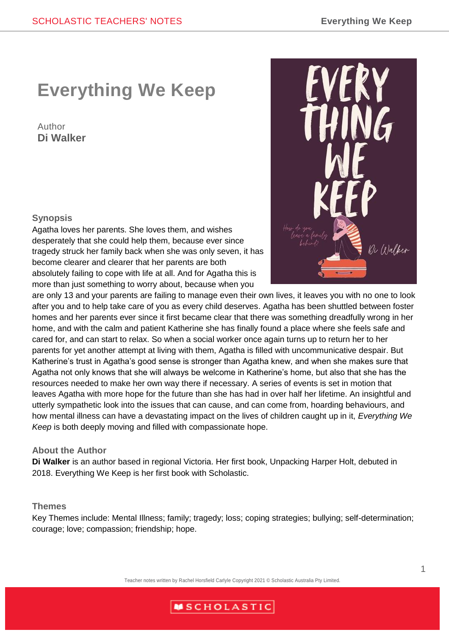# **Everything We Keep**

## Author **Di Walker**

#### **Synopsis**

Agatha loves her parents. She loves them, and wishes desperately that she could help them, because ever since tragedy struck her family back when she was only seven, it has become clearer and clearer that her parents are both absolutely failing to cope with life at all. And for Agatha this is more than just something to worry about, because when you



are only 13 and your parents are failing to manage even their own lives, it leaves you with no one to look after you and to help take care of you as every child deserves. Agatha has been shuttled between foster homes and her parents ever since it first became clear that there was something dreadfully wrong in her home, and with the calm and patient Katherine she has finally found a place where she feels safe and cared for, and can start to relax. So when a social worker once again turns up to return her to her parents for yet another attempt at living with them, Agatha is filled with uncommunicative despair. But Katherine's trust in Agatha's good sense is stronger than Agatha knew, and when she makes sure that Agatha not only knows that she will always be welcome in Katherine's home, but also that she has the resources needed to make her own way there if necessary. A series of events is set in motion that leaves Agatha with more hope for the future than she has had in over half her lifetime. An insightful and utterly sympathetic look into the issues that can cause, and can come from, hoarding behaviours, and how mental illness can have a devastating impact on the lives of children caught up in it, *Everything We Keep* is both deeply moving and filled with compassionate hope.

#### **About the Author**

**Di Walker** is an author based in regional Victoria. Her first book, Unpacking Harper Holt, debuted in 2018. Everything We Keep is her first book with Scholastic.

#### **Themes**

Key Themes include: Mental Illness; family; tragedy; loss; coping strategies; bullying; self-determination; courage; love; compassion; friendship; hope.

Teacher notes written by Rachel Horsfield Carlyle Copyright 2021 © Scholastic Australia Pty Limited.

## **MSCHOLASTIC**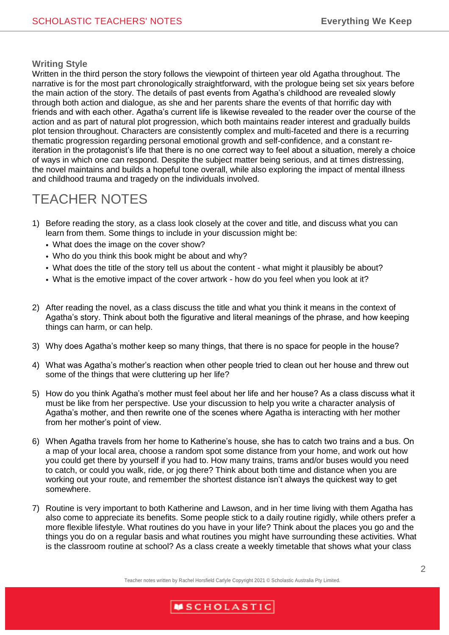#### **Writing Style**

Written in the third person the story follows the viewpoint of thirteen year old Agatha throughout. The narrative is for the most part chronologically straightforward, with the prologue being set six years before the main action of the story. The details of past events from Agatha's childhood are revealed slowly through both action and dialogue, as she and her parents share the events of that horrific day with friends and with each other. Agatha's current life is likewise revealed to the reader over the course of the action and as part of natural plot progression, which both maintains reader interest and gradually builds plot tension throughout. Characters are consistently complex and multi-faceted and there is a recurring thematic progression regarding personal emotional growth and self-confidence, and a constant reiteration in the protagonist's life that there is no one correct way to feel about a situation, merely a choice of ways in which one can respond. Despite the subject matter being serious, and at times distressing, the novel maintains and builds a hopeful tone overall, while also exploring the impact of mental illness and childhood trauma and tragedy on the individuals involved.

## TEACHER NOTES

- 1) Before reading the story, as a class look closely at the cover and title, and discuss what you can learn from them. Some things to include in your discussion might be:
	- What does the image on the cover show?
	- Who do you think this book might be about and why?
	- What does the title of the story tell us about the content what might it plausibly be about?
	- What is the emotive impact of the cover artwork how do you feel when you look at it?
- 2) After reading the novel, as a class discuss the title and what you think it means in the context of Agatha's story. Think about both the figurative and literal meanings of the phrase, and how keeping things can harm, or can help.
- 3) Why does Agatha's mother keep so many things, that there is no space for people in the house?
- 4) What was Agatha's mother's reaction when other people tried to clean out her house and threw out some of the things that were cluttering up her life?
- 5) How do you think Agatha's mother must feel about her life and her house? As a class discuss what it must be like from her perspective. Use your discussion to help you write a character analysis of Agatha's mother, and then rewrite one of the scenes where Agatha is interacting with her mother from her mother's point of view.
- 6) When Agatha travels from her home to Katherine's house, she has to catch two trains and a bus. On a map of your local area, choose a random spot some distance from your home, and work out how you could get there by yourself if you had to. How many trains, trams and/or buses would you need to catch, or could you walk, ride, or jog there? Think about both time and distance when you are working out your route, and remember the shortest distance isn't always the quickest way to get somewhere.
- 7) Routine is very important to both Katherine and Lawson, and in her time living with them Agatha has also come to appreciate its benefits. Some people stick to a daily routine rigidly, while others prefer a more flexible lifestyle. What routines do you have in your life? Think about the places you go and the things you do on a regular basis and what routines you might have surrounding these activities. What is the classroom routine at school? As a class create a weekly timetable that shows what your class

Teacher notes written by Rachel Horsfield Carlyle Copyright 2021 © Scholastic Australia Pty Limited.

## **MSCHOLASTIC**